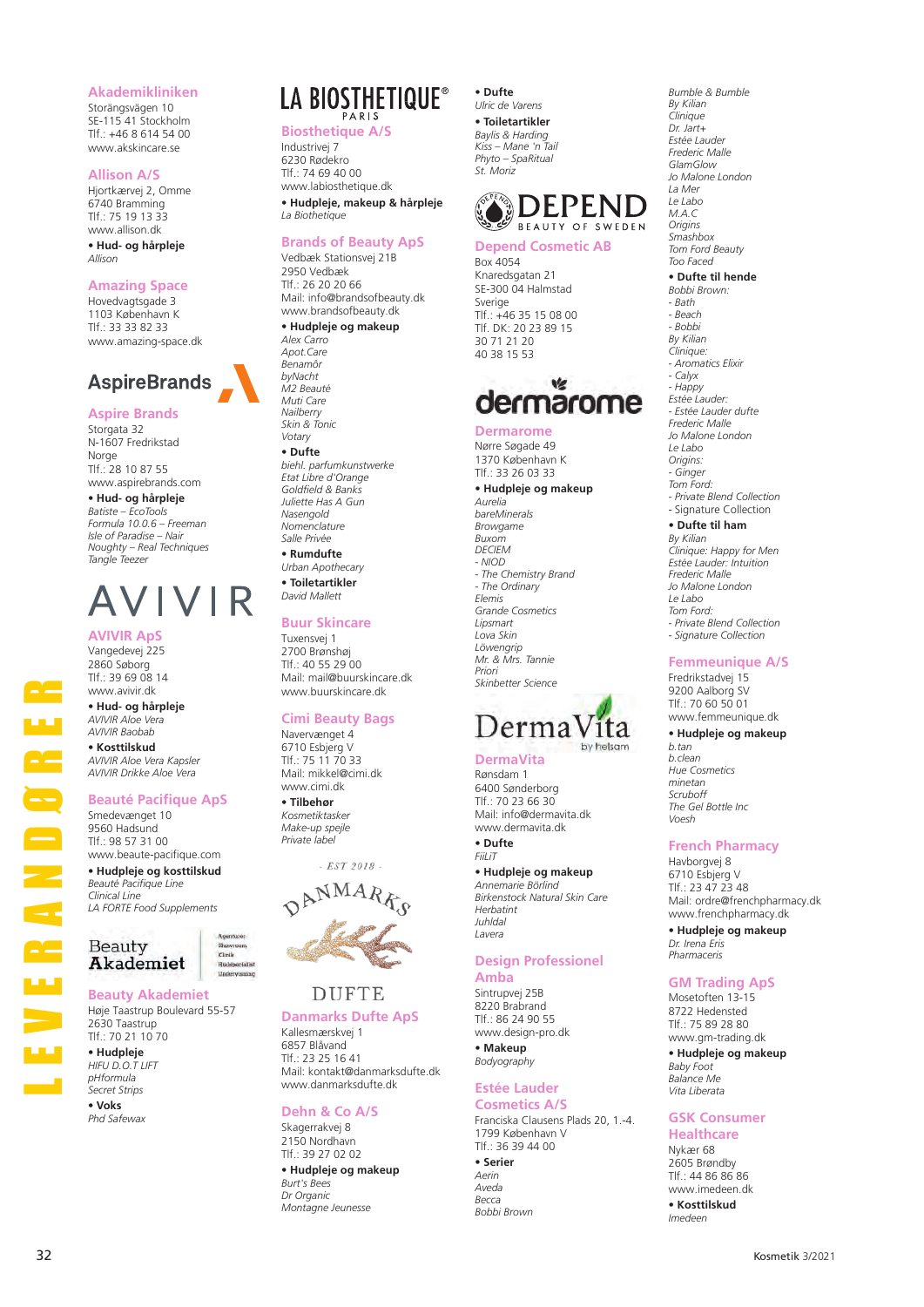## **Akademikliniken**

Storängsvägen 10 SE-115 41 Stockholm Tlf.: +46 8 614 54 00 www.akskincare.se

#### **Allison A/S**

Hjortkærvej 2, Omme 6740 Bramming  $T$ lf · 75 19 13 33 www.allison.dk **• Hud- og hårpleje** *Allison*

## **Amazing Space**

Hovedvagtsgade 3 1103 København K Tlf.: 33 33 82 33 www.amazing-space.dk



## **Aspire Brands**

Storgata 32 N-1607 Fredrikstad **Norge** Tlf.: 28 10 87 55 www.aspirebrands.com

**• Hud- og hårpleje** *Batiste – EcoTools Formula 10.0.6 – Freeman Isle of Paradise – Nair Noughty – Real Techniques Tangle Teezer*

# AVIVIR

## **AVIVIR ApS**

Vangedevej 225 2860 Søborg  $T$ If: 39 69 08 14 www.avivir.dk

**• Hud- og hårpleje** *AVIVIR Aloe Vera AVIVIR Baobab*

**• Kosttilskud** *AVIVIR Aloe Vera Kapsler AVIVIR Drikke Aloe Vera*

## **Beauté Pacifique ApS**

Smedevænget 10 9560 Hadsund Tlf.: 98 57 31 00 www.beaute-pacifique.com

**• Hudpleje og kosttilskud** *Beauté Pacifique Line Clinical Line LA FORTE Food Supplements*



## **Beauty Akademiet**

Høje Taastrup Boulevard 55-57 2630 Taastrup Tlf.: 70 21 10 70

**• Hudpleje** *HIFU D.O.T LIFT pHformula Secret Strips*

**• Voks** *Phd Safewax*

## LA BIOSTHETIQUE®

**Biosthetique A/S** Industrivej 7 6230 Rødekro Tlf.: 74 69 40 00 www.labiosthetique.dk

**• Hudpleje, makeup & hårpleje** *La Biothetique*

## **Brands of Beauty ApS**

Vedbæk Stationsvej 21B 2950 Vedbæk Tlf.: 26 20 20 66 Mail: info@brandsofbeauty.dk www.brandsofbeauty.dk **• Hudpleje og makeup** *Alex Carro Apot.Care Benamôr byNacht M2 Beauté Muti Care Nailberry Skin & Tonic Votary* **• Dufte** *biehl. parfumkunstwerke Etat Libre d'Orange Goldfield & Banks Juliette Has A Gun Nasengold Nomenclature Salle Privée*

**• Rumdufte** *Urban Apothecary* **• Toiletartikler** *David Mallett*

#### **Buur Skincare**

Tuxensvej 1 2700 Brønshøj Tlf.: 40 55 29 00 Mail: mail@buurskincare.dk www.buurskincare.dk

## **Cimi Beauty Bags**

Navervænget 4 6710 Esbjerg V  $T$ If  $\cdot$  75 11 70 33 Mail: mikkel@cimi.dk www.cimi.dk

#### **• Tilbehør** *Kosmetiktasker*

*Make-up spejle Private label*



**Danmarks Dufte ApS** Kallesmærskvej 1 6857 Blåvand

Tlf.: 23 25 16 41 Mail: kontakt@danmarksdufte.dk www.danmarksdufte.dk

## **Dehn & Co A/S**

Skagerrakvej 8 2150 Nordhavn Tlf.: 39 27 02 02 **• Hudpleje og makeup** *Burt's Bees Dr Organic Montagne Jeunesse*

**• Dufte** *Ulric de Varens* **• Toiletartikler** *Baylis & Harding Kiss – Mane 'n Tail Phyto – SpaRitual St. Moriz*



## **Depend Cosmetic AB**

## ۷ġ dermarome

**Dermarome** Nørre Søgade 49 1370 København K  $T$ lf  $\cdot$  33 26 03 33

## **• Hudpleje og makeup**

*Aurelia bareMinerals Browgame Buxom DECIEM - NIOD - The Chemistry Brand - The Ordinary Elemis Grande Cosmetics Lipsmart Lova Skin Löwengrip Mr. & Mrs. Tannie Priori Skinbetter Science*



#### **DermaVita** Rønsdam 1 6400 Sønderborg Tlf.: 70 23 66 30 Mail: info@dermavita.dk www.dermavita.dk **• Dufte** *FiiLiT*

**• Hudpleje og makeup** *Annemarie Börlind Birkenstock Natural Skin Care Herbatint Juhldal Lavera*

## **Design Professionel**

**Amba** Sintrupvej 25B 8220 Brabrand Tlf.: 86 24 90 55 www.design-pro.dk

**• Makeup** *Bodyography*

#### **Estée Lauder Cosmetics A/S**

Franciska Clausens Plads 20, 1.-4. 1799 København V Tlf.: 36 39 44 00 **• Serier** *Aerin Aveda Becca Bobbi Brown*

*By Kilian Clinique Dr. Jart+ Estée Lauder Frederic Malle GlamGlow Jo Malone London La Mer Le Labo M.A.C Origins Smashbox Tom Ford Beauty Too Faced* **• Dufte til hende** *Bobbi Brown: - Bath - Beach - Bobbi By Kilian Clinique: - Aromatics Elixir - Calyx - Happy Estée Lauder: - Estée Lauder dufte Frederic Malle Jo Malone London Le Labo Origins: - Ginger Tom Ford: - Private Blend Collection* - Signature Collection **• Dufte til ham** *By Kilian Clinique: Happy for Men*

*Bumble & Bumble*

*Estée Lauder: Intuition Frederic Malle Jo Malone London Le Labo Tom Ford: - Private Blend Collection - Signature Collection*

## **Femmeunique A/S**

Fredrikstadvej 15 9200 Aalborg SV Tlf.: 70 60 50 01 www.femmeunique.dk

## **• Hudpleje og makeup**

*b.tan b.clean Hue Cosmetics minetan Scruboff The Gel Bottle Inc Voesh*

## **French Pharmacy**

Havborgvej 8 6710 Esbjerg V  $TIf: 23 47 23 48$ Mail: ordre@frenchpharmacy.dk www.frenchpharmacy.dk

**• Hudpleje og makeup** *Dr. Irena Eris Pharmaceris*

### **GM Trading ApS**

Mosetoften 13-15 8722 Hedensted Tlf.: 75 89 28 80 www.gm-trading.dk

**• Hudpleje og makeup** *Baby Foot Balance Me*

*Vita Liberata*

## **GSK Consumer**

**Healthcare** Nykær 68 2605 Brøndby Tlf.: 44 86 86 86 www.imedeen.dk

**• Kosttilskud** *Imedeen*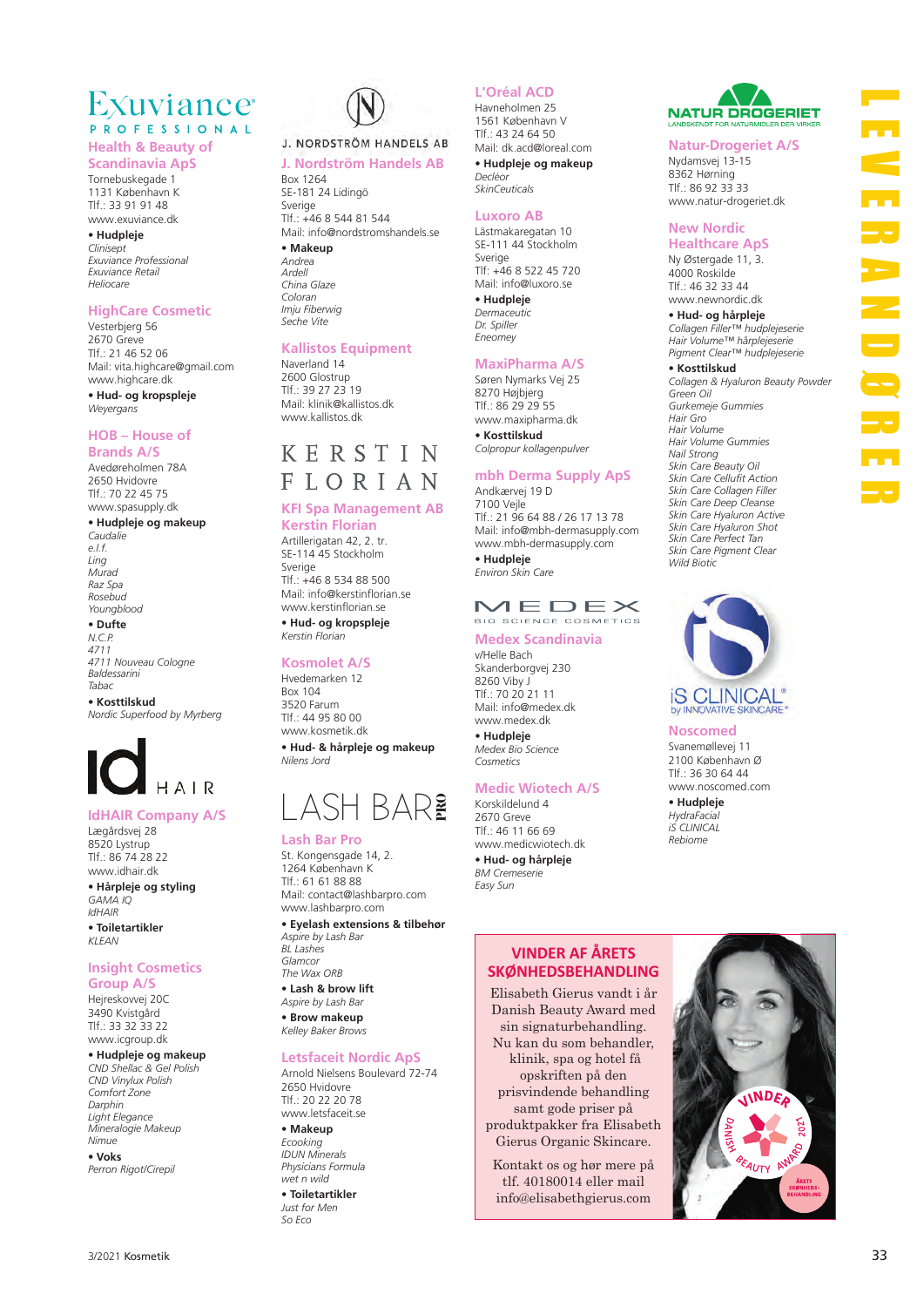## Exuviance<sup>®</sup> **PROFESSIONAL**

**Health & Beauty of** 

**Scandinavia ApS** Tornebuskegade 1 1131 København K Tlf.: 33 91 91 48

www.exuviance.dk **• Hudpleje** *Clinisept Exuviance Professional Exuviance Retail Heliocare*

## **HighCare Cosmetic**

Vesterbjerg 56 2670 Greve Tlf.: 21 46 52 06 Mail: vita.highcare@gmail.com www.highcare.dk

**• Hud- og kropspleje** *Weyergans*

## **HOB – House of Brands A/S**

Avedøreholmen 78A 2650 Hvidovre Tlf.: 70 22 45 75 www.spasupply.dk

#### **• Hudpleje og makeup** *Caudalie*

*e.l.f. Ling Murad Raz Spa Rosebud Youngblood*

## **• Dufte**

*N.C.P. 4711 4711 Nouveau Cologne Baldessarini Tabac*

**• Kosttilskud** *Nordic Superfood by Myrberg*

# $H A R$

## **IdHAIR Company A/S**

Lægårdsvej 28 8520 Lystrup Tlf.: 86 74 28 22 www.idhair.dk **• Hårpleje og styling** *GAMA IQ IdHAIR*

**• Toiletartikler** *KLEAN*

## **Insight Cosmetics**

**Group A/S** Hejreskovvej 20C 3490 Kvistgård Tlf.: 33 32 33 22 www.icgroup.dk

## **• Hudpleje og makeup**

*CND Shellac & Gel Polish CND Vinylux Polish Comfort Zone Darphin Light Elegance Mineralogie Makeup Nimue*

**• Voks** *Perron Rigot/Cirepil*



## J. NORDSTRÖM HANDELS AB

## **J. Nordström Handels AB**  Box 1264

SE-181 24 Lidingö Sverige Tlf.: +46 8 544 81 544 Mail: info@nordstromshandels.se

## **• Makeup**

*Andrea Ardell China Glaze Coloran Imju Fiberwig Seche Vite*

## **Kallistos Equipment**

Naverland 14 2600 Glostrup Tlf.: 39 27 23 19 Mail: klinik@kallistos.dk www.kallistos.dk

## KERSTIN **FIORIAN**

## **KFI Spa Management AB**

**Kerstin Florian** Artillerigatan 42, 2. tr. SE-114 45 Stockholm Sverige Tlf.: +46 8 534 88 500 Mail: info@kerstinflorian.se www.kerstinflorian.se

**• Hud- og kropspleje** *Kerstin Florian*

## **Kosmolet A/S**

Hvedemarken 12 Box 104 3520 Farum Tlf.: 44 95 80 00 www.kosmetik.dk **• Hud- & hårpleje og makeup** *Nilens Jord*

# LASH BAR?

## **Lash Bar Pro**

St. Kongensgade 14, 2. 1264 København K  $TIf.6161888$ Mail: contact@lashbarpro.com www.lashbarpro.com **• Eyelash extensions & tilbehør**

*Aspire by Lash Bar BL Lashes Glamcor The Wax ORB* **• Lash & brow lift**

*Aspire by Lash Bar* **• Brow makeup** *Kelley Baker Brows*

## **Letsfaceit Nordic ApS**

Arnold Nielsens Boulevard 72-74 2650 Hvidovre Tlf.: 20 22 20 78 www.letsfaceit.se

**• Makeup** *Ecooking*

*IDUN Minerals Physicians Formula wet n wild*

**• Toiletartikler** *Just for Men So Eco*

## **L'Oréal ACD**

Havneholmen 25 1561 København V Tlf.: 43 24 64 50 Mail: dk.acd@loreal.com **• Hudpleje og makeup** *Decléor*

*SkinCeuticals*

## **Luxoro AB**

Lästmakaregatan 10 SE-111 44 Stockholm Sverige Tlf: +46 8 522 45 720 Mail: info@luxoro.se **• Hudpleje** *Dermaceutic Dr. Spiller Eneomey*

## **MaxiPharma A/S**

Søren Nymarks Vej 25 8270 Højbjerg Tlf.: 86 29 29 55 www.maxipharma.dk **• Kosttilskud** *Colpropur kollagenpulver*

## **mbh Derma Supply ApS**

Andkærvej 19 D 7100 Vejle Tlf.: 21 96 64 88 / 26 17 13 78 Mail: info@mbh-dermasupply.com www.mbh-dermasupply.com **• Hudpleje** *Environ Skin Care*

## $MFDFX$ BIO SCIENCE COSMETICS

## **Medex Scandinavia**

v/Helle Bach Skanderborgvej 230 8260 Viby J Tlf.: 70 20 21 11 Mail: info@medex.dk www.medex.dk **• Hudpleje** *Medex Bio Science Cosmetics*

## **Medic Wiotech A/S**

Korskildelund 4 2670 Greve Tlf.: 46 11 66 69 www.medicwiotech.dk **• Hud- og hårpleje** *BM Cremeserie Easy Sun*

## **VINDER AF ÅRETS SKØNHEDSBEHANDLING**

Elisabeth Gierus vandt i år Danish Beauty Award med sin signaturbehandling. Nu kan du som behandler, klinik, spa og hotel få opskriften på den prisvindende behandling samt gode priser på

produktpakker fra Elisabeth Gierus Organic Skincare.

Kontakt os og hør mere på tlf. 40180014 eller mail info@elisabethgierus.com



## **Natur-Drogeriet A/S**

Nydamsvej 13-15 8362 Hørning Tlf.: 86 92 33 33 www.natur-drogeriet.dk

## **New Nordic Healthcare ApS**

Ny Østergade 11, 3. 4000 Roskilde Tlf.: 46 32 33 44 www.newnordic.dk

**• Hud- og hårpleje** *Collagen Filler™ hudplejeserie Hair Volume™ hårplejeserie Pigment Clear™ hudplejeserie*

## **• Kosttilskud**

*Collagen & Hyaluron Beauty Powder Green Oil Gurkemeje Gummies Hair Gro Hair Volume Hair Volume Gummies Nail Strong Skin Care Beauty Oil Skin Care Cellufit Action Skin Care Collagen Filler Skin Care Deep Cleanse Skin Care Hyaluron Active Skin Care Hyaluron Shot Skin Care Perfect Tan Skin Care Pigment Clear Wild Biotic*



## **Noscomed**

Svanemøllevej 11 2100 København Ø  $T$ If  $\cdot$  36 30 64 44 www.noscomed.com

**• Hudpleje** *HydraFacial iS CLINICAL Rebiome*